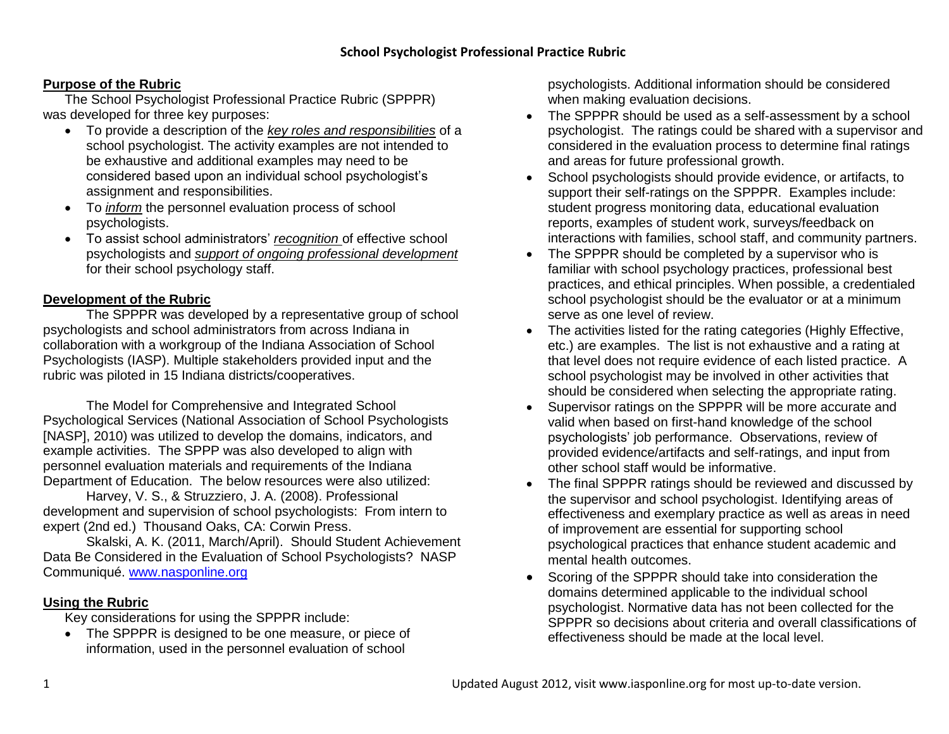### **Purpose of the Rubric**

The School Psychologist Professional Practice Rubric (SPPPR) was developed for three key purposes:

- To provide a description of the *key roles and responsibilities* of a school psychologist. The activity examples are not intended to be exhaustive and additional examples may need to be considered based upon an individual school psychologist's assignment and responsibilities.
- To *inform* the personnel evaluation process of school psychologists.
- To assist school administrators' *recognition* of effective school psychologists and *support of ongoing professional development* for their school psychology staff.

#### **Development of the Rubric**

The SPPPR was developed by a representative group of school psychologists and school administrators from across Indiana in collaboration with a workgroup of the Indiana Association of School Psychologists (IASP). Multiple stakeholders provided input and the rubric was piloted in 15 Indiana districts/cooperatives.

The Model for Comprehensive and Integrated School Psychological Services (National Association of School Psychologists [NASP], 2010) was utilized to develop the domains, indicators, and example activities. The SPPP was also developed to align with personnel evaluation materials and requirements of the Indiana Department of Education. The below resources were also utilized:

Harvey, V. S., & Struzziero, J. A. (2008). Professional development and supervision of school psychologists: From intern to expert (2nd ed.) Thousand Oaks, CA: Corwin Press.

Skalski, A. K. (2011, March/April). Should Student Achievement Data Be Considered in the Evaluation of School Psychologists? NASP Communiqué. [www.nasponline.org](http://www.nasponline.org/)

#### **Using the Rubric**

Key considerations for using the SPPPR include:

• The SPPPR is designed to be one measure, or piece of information, used in the personnel evaluation of school

psychologists. Additional information should be considered when making evaluation decisions.

- The SPPPR should be used as a self-assessment by a school psychologist. The ratings could be shared with a supervisor and considered in the evaluation process to determine final ratings and areas for future professional growth.
- School psychologists should provide evidence, or artifacts, to support their self-ratings on the SPPPR. Examples include: student progress monitoring data, educational evaluation reports, examples of student work, surveys/feedback on interactions with families, school staff, and community partners.
- The SPPPR should be completed by a supervisor who is familiar with school psychology practices, professional best practices, and ethical principles. When possible, a credentialed school psychologist should be the evaluator or at a minimum serve as one level of review.
- The activities listed for the rating categories (Highly Effective, etc.) are examples. The list is not exhaustive and a rating at that level does not require evidence of each listed practice. A school psychologist may be involved in other activities that should be considered when selecting the appropriate rating.
- Supervisor ratings on the SPPPR will be more accurate and valid when based on first-hand knowledge of the school psychologists' job performance. Observations, review of provided evidence/artifacts and self-ratings, and input from other school staff would be informative.
- The final SPPPR ratings should be reviewed and discussed by the supervisor and school psychologist. Identifying areas of effectiveness and exemplary practice as well as areas in need of improvement are essential for supporting school psychological practices that enhance student academic and mental health outcomes.
- Scoring of the SPPPR should take into consideration the domains determined applicable to the individual school psychologist. Normative data has not been collected for the SPPPR so decisions about criteria and overall classifications of effectiveness should be made at the local level.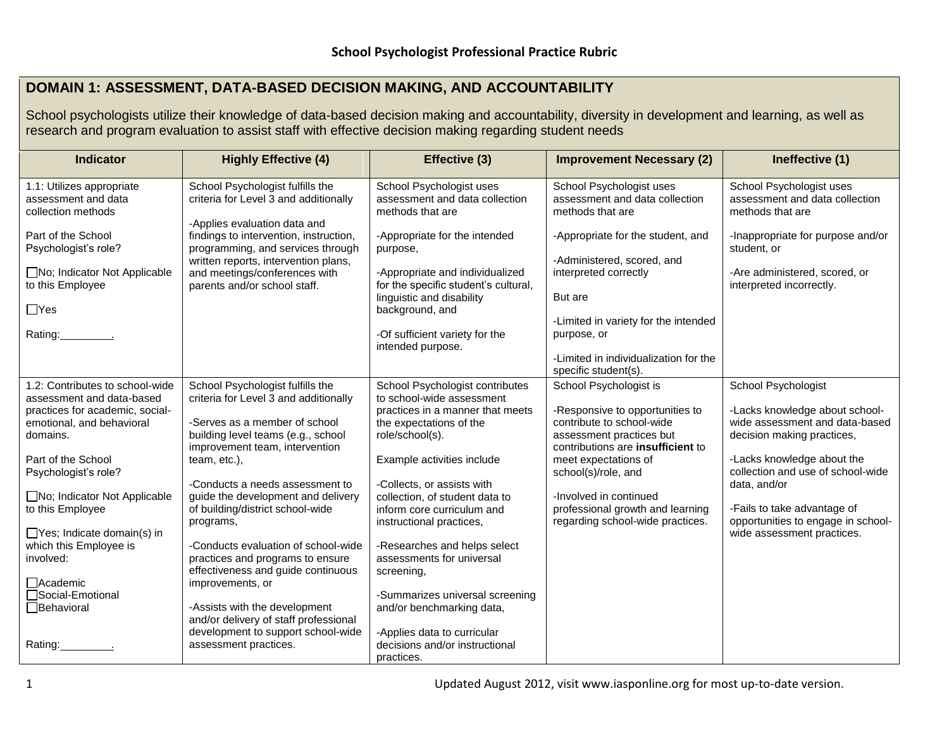## **DOMAIN 1: ASSESSMENT, DATA-BASED DECISION MAKING, AND ACCOUNTABILITY**

School psychologists utilize their knowledge of data-based decision making and accountability, diversity in development and learning, as well as research and program evaluation to assist staff with effective decision making regarding student needs

| <b>Indicator</b>                                                                             | <b>Highly Effective (4)</b>                                                                                                                         | Effective (3)                                                                                                   | <b>Improvement Necessary (2)</b>                                                                                                     | Ineffective (1)                                                                                                     |
|----------------------------------------------------------------------------------------------|-----------------------------------------------------------------------------------------------------------------------------------------------------|-----------------------------------------------------------------------------------------------------------------|--------------------------------------------------------------------------------------------------------------------------------------|---------------------------------------------------------------------------------------------------------------------|
| 1.1: Utilizes appropriate<br>assessment and data<br>collection methods<br>Part of the School | School Psychologist fulfills the<br>criteria for Level 3 and additionally<br>-Applies evaluation data and<br>findings to intervention, instruction, | School Psychologist uses<br>assessment and data collection<br>methods that are<br>-Appropriate for the intended | School Psychologist uses<br>assessment and data collection<br>methods that are<br>-Appropriate for the student, and                  | School Psychologist uses<br>assessment and data collection<br>methods that are<br>-Inappropriate for purpose and/or |
| Psychologist's role?<br>□No; Indicator Not Applicable                                        | programming, and services through<br>written reports, intervention plans,<br>and meetings/conferences with                                          | purpose,<br>-Appropriate and individualized                                                                     | -Administered, scored, and<br>interpreted correctly                                                                                  | student, or<br>-Are administered, scored, or                                                                        |
| to this Employee<br>$\Box$ Yes                                                               | parents and/or school staff.                                                                                                                        | for the specific student's cultural,<br>linguistic and disability<br>background, and                            | But are                                                                                                                              | interpreted incorrectly.                                                                                            |
| Rating: The Rating:                                                                          |                                                                                                                                                     | -Of sufficient variety for the<br>intended purpose.                                                             | -Limited in variety for the intended<br>purpose, or                                                                                  |                                                                                                                     |
|                                                                                              |                                                                                                                                                     |                                                                                                                 | -Limited in individualization for the<br>specific student(s).                                                                        |                                                                                                                     |
| 1.2: Contributes to school-wide<br>assessment and data-based                                 | School Psychologist fulfills the<br>criteria for Level 3 and additionally                                                                           | School Psychologist contributes<br>to school-wide assessment                                                    | School Psychologist is                                                                                                               | School Psychologist                                                                                                 |
| practices for academic, social-<br>emotional, and behavioral<br>domains.                     | -Serves as a member of school<br>building level teams (e.g., school<br>improvement team, intervention                                               | practices in a manner that meets<br>the expectations of the<br>role/school(s).                                  | -Responsive to opportunities to<br>contribute to school-wide<br>assessment practices but<br>contributions are <b>insufficient</b> to | -Lacks knowledge about school-<br>wide assessment and data-based<br>decision making practices,                      |
| Part of the School<br>Psychologist's role?                                                   | team, etc.),<br>-Conducts a needs assessment to                                                                                                     | Example activities include<br>-Collects, or assists with                                                        | meet expectations of<br>school(s)/role, and                                                                                          | -Lacks knowledge about the<br>collection and use of school-wide<br>data, and/or                                     |
| □No; Indicator Not Applicable<br>to this Employee                                            | guide the development and delivery<br>of building/district school-wide<br>programs,                                                                 | collection, of student data to<br>inform core curriculum and<br>instructional practices,                        | -Involved in continued<br>professional growth and learning<br>regarding school-wide practices.                                       | -Fails to take advantage of<br>opportunities to engage in school-                                                   |
| □ Yes; Indicate domain(s) in<br>which this Employee is                                       | -Conducts evaluation of school-wide                                                                                                                 | -Researches and helps select                                                                                    |                                                                                                                                      | wide assessment practices.                                                                                          |
| involved:                                                                                    | practices and programs to ensure<br>effectiveness and guide continuous                                                                              | assessments for universal<br>screening,                                                                         |                                                                                                                                      |                                                                                                                     |
| □Academic<br>Social-Emotional                                                                | improvements, or                                                                                                                                    | -Summarizes universal screening                                                                                 |                                                                                                                                      |                                                                                                                     |
| <b>□</b> Behavioral                                                                          | -Assists with the development<br>and/or delivery of staff professional                                                                              | and/or benchmarking data,                                                                                       |                                                                                                                                      |                                                                                                                     |
| Rating:                                                                                      | development to support school-wide<br>assessment practices.                                                                                         | -Applies data to curricular<br>decisions and/or instructional<br>practices.                                     |                                                                                                                                      |                                                                                                                     |

1 Updated August 2012, visit www.iasponline.org for most up-to-date version.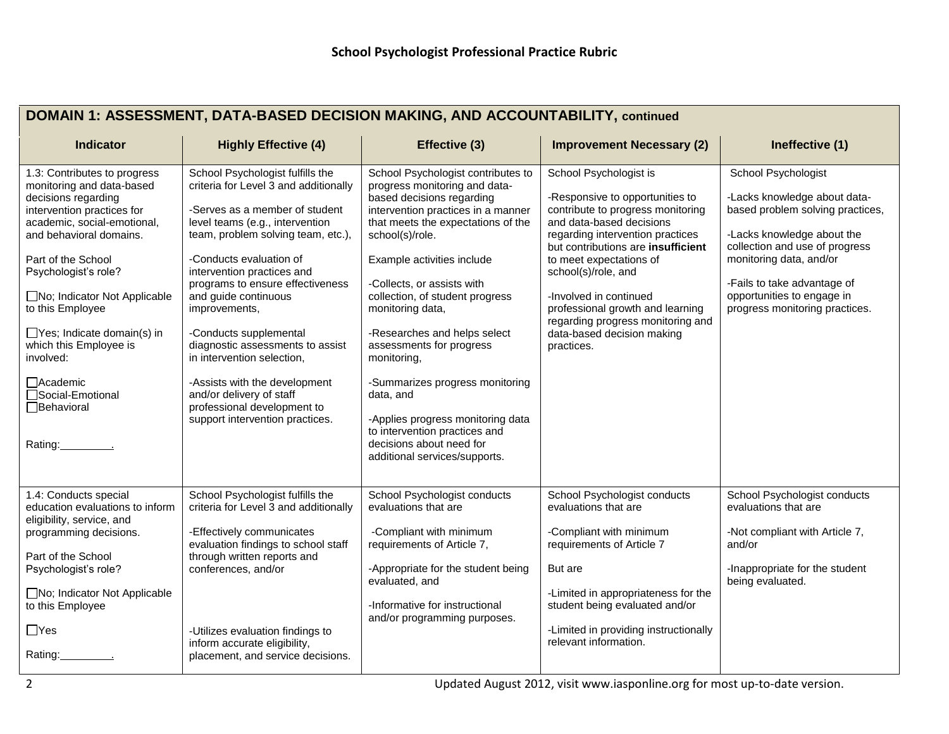| DOMAIN 1: ASSESSMENT, DATA-BASED DECISION MAKING, AND ACCOUNTABILITY, continued |  |  |
|---------------------------------------------------------------------------------|--|--|
|---------------------------------------------------------------------------------|--|--|

| <b>Indicator</b>                                                                                                                                                                                                                                                                                                                                                                                                                 | <b>Highly Effective (4)</b>                                                                                                                                                                                                                                                                                                                                                                                                                                                                                                                           | Effective (3)                                                                                                                                                                                                                                                                                                                                                                                                                                                                                                                                                                    | <b>Improvement Necessary (2)</b>                                                                                                                                                                                                                                                                                                                                                                      | Ineffective (1)                                                                                                                                                                                                                                                                   |
|----------------------------------------------------------------------------------------------------------------------------------------------------------------------------------------------------------------------------------------------------------------------------------------------------------------------------------------------------------------------------------------------------------------------------------|-------------------------------------------------------------------------------------------------------------------------------------------------------------------------------------------------------------------------------------------------------------------------------------------------------------------------------------------------------------------------------------------------------------------------------------------------------------------------------------------------------------------------------------------------------|----------------------------------------------------------------------------------------------------------------------------------------------------------------------------------------------------------------------------------------------------------------------------------------------------------------------------------------------------------------------------------------------------------------------------------------------------------------------------------------------------------------------------------------------------------------------------------|-------------------------------------------------------------------------------------------------------------------------------------------------------------------------------------------------------------------------------------------------------------------------------------------------------------------------------------------------------------------------------------------------------|-----------------------------------------------------------------------------------------------------------------------------------------------------------------------------------------------------------------------------------------------------------------------------------|
| 1.3: Contributes to progress<br>monitoring and data-based<br>decisions regarding<br>intervention practices for<br>academic, social-emotional,<br>and behavioral domains.<br>Part of the School<br>Psychologist's role?<br>$\Box$ No; Indicator Not Applicable<br>to this Employee<br>$\Box$ Yes; Indicate domain(s) in<br>which this Employee is<br>involved:<br>□ Academic<br>□Social-Emotional<br>$\Box$ Behavioral<br>Rating: | School Psychologist fulfills the<br>criteria for Level 3 and additionally<br>-Serves as a member of student<br>level teams (e.g., intervention<br>team, problem solving team, etc.),<br>-Conducts evaluation of<br>intervention practices and<br>programs to ensure effectiveness<br>and guide continuous<br>improvements,<br>-Conducts supplemental<br>diagnostic assessments to assist<br>in intervention selection,<br>-Assists with the development<br>and/or delivery of staff<br>professional development to<br>support intervention practices. | School Psychologist contributes to<br>progress monitoring and data-<br>based decisions regarding<br>intervention practices in a manner<br>that meets the expectations of the<br>school(s)/role.<br>Example activities include<br>-Collects, or assists with<br>collection, of student progress<br>monitoring data,<br>-Researches and helps select<br>assessments for progress<br>monitoring,<br>-Summarizes progress monitoring<br>data, and<br>-Applies progress monitoring data<br>to intervention practices and<br>decisions about need for<br>additional services/supports. | School Psychologist is<br>-Responsive to opportunities to<br>contribute to progress monitoring<br>and data-based decisions<br>regarding intervention practices<br>but contributions are insufficient<br>to meet expectations of<br>school(s)/role, and<br>-Involved in continued<br>professional growth and learning<br>regarding progress monitoring and<br>data-based decision making<br>practices. | School Psychologist<br>-Lacks knowledge about data-<br>based problem solving practices,<br>-Lacks knowledge about the<br>collection and use of progress<br>monitoring data, and/or<br>-Fails to take advantage of<br>opportunities to engage in<br>progress monitoring practices. |
| 1.4: Conducts special<br>education evaluations to inform<br>eligibility, service, and<br>programming decisions.<br>Part of the School<br>Psychologist's role?<br>$\Box$ No; Indicator Not Applicable<br>to this Employee<br>$\Box$ Yes<br>Rating:                                                                                                                                                                                | School Psychologist fulfills the<br>criteria for Level 3 and additionally<br>-Effectively communicates<br>evaluation findings to school staff<br>through written reports and<br>conferences, and/or<br>-Utilizes evaluation findings to<br>inform accurate eligibility,<br>placement, and service decisions.                                                                                                                                                                                                                                          | School Psychologist conducts<br>evaluations that are<br>-Compliant with minimum<br>requirements of Article 7,<br>-Appropriate for the student being<br>evaluated, and<br>-Informative for instructional<br>and/or programming purposes.                                                                                                                                                                                                                                                                                                                                          | School Psychologist conducts<br>evaluations that are<br>-Compliant with minimum<br>requirements of Article 7<br>But are<br>-Limited in appropriateness for the<br>student being evaluated and/or<br>-Limited in providing instructionally<br>relevant information.                                                                                                                                    | School Psychologist conducts<br>evaluations that are<br>-Not compliant with Article 7,<br>and/or<br>-Inappropriate for the student<br>being evaluated.                                                                                                                            |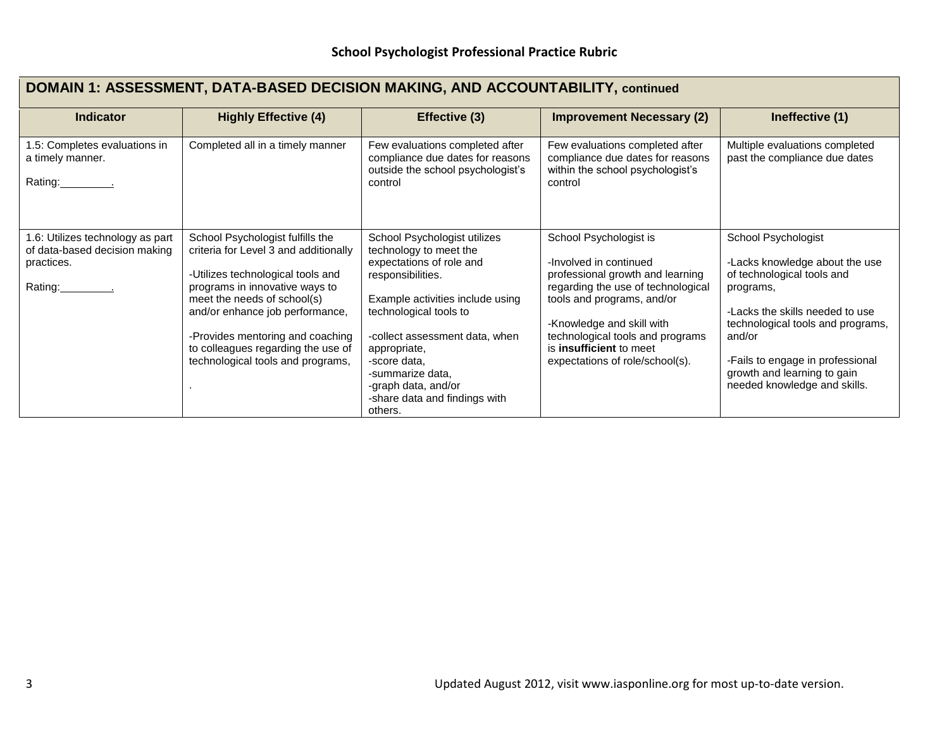# **DOMAIN 1: ASSESSMENT, DATA-BASED DECISION MAKING, AND ACCOUNTABILITY, continued**

| <b>Indicator</b>                                                                           | <b>Highly Effective (4)</b>                                                                                                                                                                                                                                                                                                       | Effective (3)                                                                                                                                                                                                                                                                                                                  | <b>Improvement Necessary (2)</b>                                                                                                                                                                                                                                                        | Ineffective (1)                                                                                                                                                                                                                                                                       |
|--------------------------------------------------------------------------------------------|-----------------------------------------------------------------------------------------------------------------------------------------------------------------------------------------------------------------------------------------------------------------------------------------------------------------------------------|--------------------------------------------------------------------------------------------------------------------------------------------------------------------------------------------------------------------------------------------------------------------------------------------------------------------------------|-----------------------------------------------------------------------------------------------------------------------------------------------------------------------------------------------------------------------------------------------------------------------------------------|---------------------------------------------------------------------------------------------------------------------------------------------------------------------------------------------------------------------------------------------------------------------------------------|
| 1.5: Completes evaluations in<br>a timely manner.<br>Rating: The Rating:                   | Completed all in a timely manner                                                                                                                                                                                                                                                                                                  | Few evaluations completed after<br>compliance due dates for reasons<br>outside the school psychologist's<br>control                                                                                                                                                                                                            | Few evaluations completed after<br>compliance due dates for reasons<br>within the school psychologist's<br>control                                                                                                                                                                      | Multiple evaluations completed<br>past the compliance due dates                                                                                                                                                                                                                       |
| 1.6: Utilizes technology as part<br>of data-based decision making<br>practices.<br>Rating: | School Psychologist fulfills the<br>criteria for Level 3 and additionally<br>-Utilizes technological tools and<br>programs in innovative ways to<br>meet the needs of school(s)<br>and/or enhance job performance,<br>-Provides mentoring and coaching<br>to colleagues regarding the use of<br>technological tools and programs, | School Psychologist utilizes<br>technology to meet the<br>expectations of role and<br>responsibilities.<br>Example activities include using<br>technological tools to<br>-collect assessment data, when<br>appropriate,<br>-score data.<br>-summarize data,<br>-graph data, and/or<br>-share data and findings with<br>others. | School Psychologist is<br>-Involved in continued<br>professional growth and learning<br>regarding the use of technological<br>tools and programs, and/or<br>-Knowledge and skill with<br>technological tools and programs<br>is insufficient to meet<br>expectations of role/school(s). | School Psychologist<br>-Lacks knowledge about the use<br>of technological tools and<br>programs,<br>-Lacks the skills needed to use<br>technological tools and programs,<br>and/or<br>-Fails to engage in professional<br>growth and learning to gain<br>needed knowledge and skills. |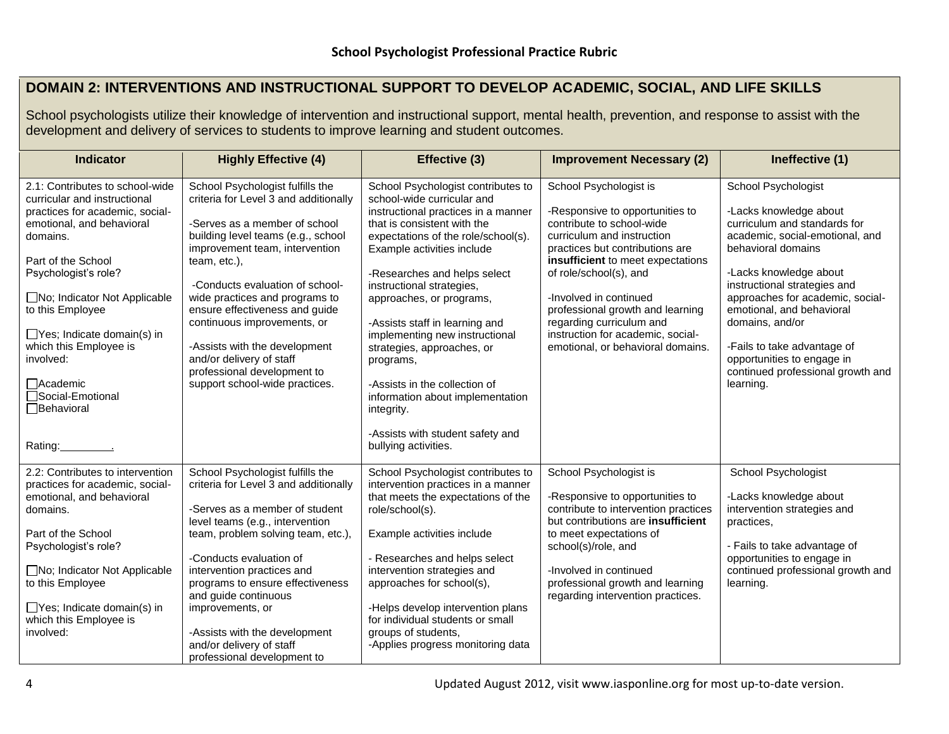## **DOMAIN 2: INTERVENTIONS AND INSTRUCTIONAL SUPPORT TO DEVELOP ACADEMIC, SOCIAL, AND LIFE SKILLS**

School psychologists utilize their knowledge of intervention and instructional support, mental health, prevention, and response to assist with the development and delivery of services to students to improve learning and student outcomes.

| <b>Indicator</b>                                                                                                                                                                                                                                     | <b>Highly Effective (4)</b>                                                                                                                                                                                                                                                                                                              | Effective (3)                                                                                                                                                                                                                                                                                                                          | <b>Improvement Necessary (2)</b>                                                                                                                                                                                                                                                                                 | Ineffective (1)                                                                                                                                                                                                                                                                      |
|------------------------------------------------------------------------------------------------------------------------------------------------------------------------------------------------------------------------------------------------------|------------------------------------------------------------------------------------------------------------------------------------------------------------------------------------------------------------------------------------------------------------------------------------------------------------------------------------------|----------------------------------------------------------------------------------------------------------------------------------------------------------------------------------------------------------------------------------------------------------------------------------------------------------------------------------------|------------------------------------------------------------------------------------------------------------------------------------------------------------------------------------------------------------------------------------------------------------------------------------------------------------------|--------------------------------------------------------------------------------------------------------------------------------------------------------------------------------------------------------------------------------------------------------------------------------------|
| 2.1: Contributes to school-wide<br>curricular and instructional<br>practices for academic, social-<br>emotional, and behavioral<br>domains.<br>Part of the School<br>Psychologist's role?<br>□No; Indicator Not Applicable<br>to this Employee       | School Psychologist fulfills the<br>criteria for Level 3 and additionally<br>-Serves as a member of school<br>building level teams (e.g., school<br>improvement team, intervention<br>team, etc.),<br>-Conducts evaluation of school-<br>wide practices and programs to<br>ensure effectiveness and guide<br>continuous improvements, or | School Psychologist contributes to<br>school-wide curricular and<br>instructional practices in a manner<br>that is consistent with the<br>expectations of the role/school(s).<br>Example activities include<br>-Researches and helps select<br>instructional strategies,<br>approaches, or programs,<br>-Assists staff in learning and | School Psychologist is<br>-Responsive to opportunities to<br>contribute to school-wide<br>curriculum and instruction<br>practices but contributions are<br>insufficient to meet expectations<br>of role/school(s), and<br>-Involved in continued<br>professional growth and learning<br>regarding curriculum and | School Psychologist<br>-Lacks knowledge about<br>curriculum and standards for<br>academic, social-emotional, and<br>behavioral domains<br>-Lacks knowledge about<br>instructional strategies and<br>approaches for academic, social-<br>emotional, and behavioral<br>domains, and/or |
| $\Box$ Yes; Indicate domain(s) in<br>which this Employee is<br>involved:<br>$\Box$ Academic<br>□Social-Emotional<br>□Behavioral<br>Rating:                                                                                                           | -Assists with the development<br>and/or delivery of staff<br>professional development to<br>support school-wide practices.                                                                                                                                                                                                               | implementing new instructional<br>strategies, approaches, or<br>programs,<br>-Assists in the collection of<br>information about implementation<br>integrity.<br>-Assists with student safety and<br>bullying activities.                                                                                                               | instruction for academic, social-<br>emotional, or behavioral domains.                                                                                                                                                                                                                                           | -Fails to take advantage of<br>opportunities to engage in<br>continued professional growth and<br>learning.                                                                                                                                                                          |
| 2.2: Contributes to intervention<br>practices for academic, social-<br>emotional, and behavioral<br>domains.<br>Part of the School<br>Psychologist's role?<br>□No; Indicator Not Applicable<br>to this Employee<br>$\Box$ Yes; Indicate domain(s) in | School Psychologist fulfills the<br>criteria for Level 3 and additionally<br>-Serves as a member of student<br>level teams (e.g., intervention<br>team, problem solving team, etc.),<br>-Conducts evaluation of<br>intervention practices and<br>programs to ensure effectiveness<br>and guide continuous<br>improvements, or            | School Psychologist contributes to<br>intervention practices in a manner<br>that meets the expectations of the<br>role/school(s).<br>Example activities include<br>- Researches and helps select<br>intervention strategies and<br>approaches for school(s),<br>-Helps develop intervention plans                                      | School Psychologist is<br>-Responsive to opportunities to<br>contribute to intervention practices<br>but contributions are <b>insufficient</b><br>to meet expectations of<br>school(s)/role, and<br>-Involved in continued<br>professional growth and learning<br>regarding intervention practices.              | <b>School Psychologist</b><br>-Lacks knowledge about<br>intervention strategies and<br>practices,<br>- Fails to take advantage of<br>opportunities to engage in<br>continued professional growth and<br>learning.                                                                    |
| which this Employee is<br>involved:                                                                                                                                                                                                                  | -Assists with the development<br>and/or delivery of staff<br>professional development to                                                                                                                                                                                                                                                 | for individual students or small<br>groups of students,<br>-Applies progress monitoring data                                                                                                                                                                                                                                           |                                                                                                                                                                                                                                                                                                                  |                                                                                                                                                                                                                                                                                      |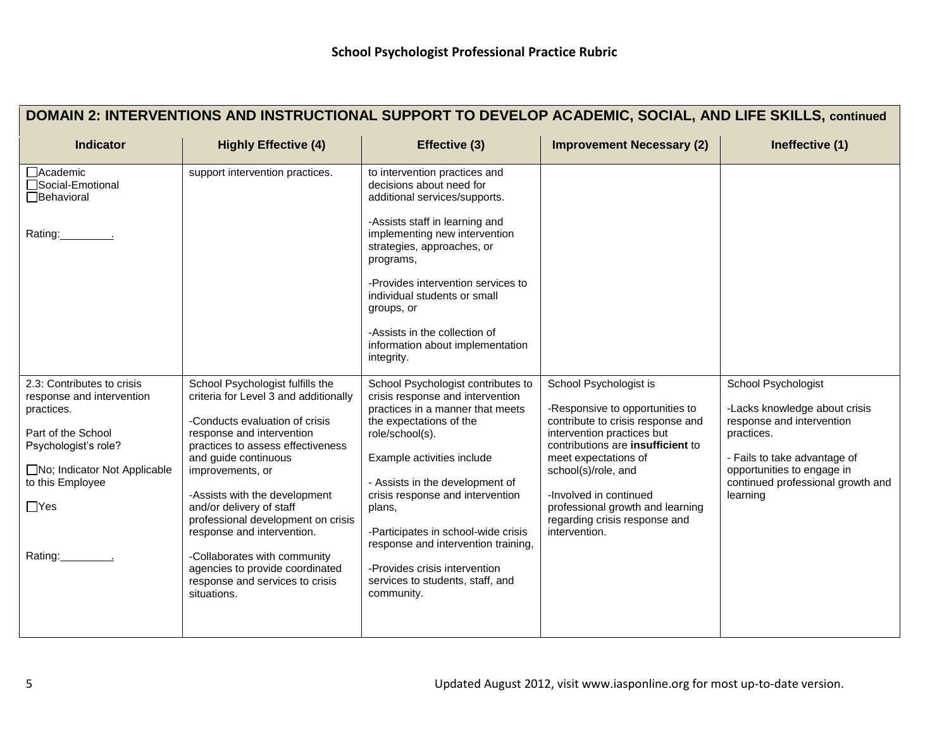|                                                                                                                                                                                                   |                                                                                                                                                                                                                                                                                                                                                                                                                                                                                 |                                                                                                                                                                                                                                                                                                                                                                                                                                          | 0. 7107192.11110, 0001112, 71119 211 2 0111                                                                                                                                                                                                                                                                                      |                                                                                                                                                                                                                |
|---------------------------------------------------------------------------------------------------------------------------------------------------------------------------------------------------|---------------------------------------------------------------------------------------------------------------------------------------------------------------------------------------------------------------------------------------------------------------------------------------------------------------------------------------------------------------------------------------------------------------------------------------------------------------------------------|------------------------------------------------------------------------------------------------------------------------------------------------------------------------------------------------------------------------------------------------------------------------------------------------------------------------------------------------------------------------------------------------------------------------------------------|----------------------------------------------------------------------------------------------------------------------------------------------------------------------------------------------------------------------------------------------------------------------------------------------------------------------------------|----------------------------------------------------------------------------------------------------------------------------------------------------------------------------------------------------------------|
| Indicator                                                                                                                                                                                         | <b>Highly Effective (4)</b>                                                                                                                                                                                                                                                                                                                                                                                                                                                     | Effective (3)                                                                                                                                                                                                                                                                                                                                                                                                                            | <b>Improvement Necessary (2)</b>                                                                                                                                                                                                                                                                                                 | Ineffective (1)                                                                                                                                                                                                |
| □ Academic<br>□Social-Emotional<br><b>□Behavioral</b><br>Rating:                                                                                                                                  | support intervention practices.                                                                                                                                                                                                                                                                                                                                                                                                                                                 | to intervention practices and<br>decisions about need for<br>additional services/supports.<br>-Assists staff in learning and<br>implementing new intervention<br>strategies, approaches, or<br>programs,<br>-Provides intervention services to<br>individual students or small<br>groups, or<br>-Assists in the collection of<br>information about implementation<br>integrity.                                                          |                                                                                                                                                                                                                                                                                                                                  |                                                                                                                                                                                                                |
| 2.3: Contributes to crisis<br>response and intervention<br>practices.<br>Part of the School<br>Psychologist's role?<br>□No; Indicator Not Applicable<br>to this Employee<br>$\Box$ Yes<br>Rating: | School Psychologist fulfills the<br>criteria for Level 3 and additionally<br>-Conducts evaluation of crisis<br>response and intervention<br>practices to assess effectiveness<br>and guide continuous<br>improvements, or<br>-Assists with the development<br>and/or delivery of staff<br>professional development on crisis<br>response and intervention.<br>-Collaborates with community<br>agencies to provide coordinated<br>response and services to crisis<br>situations. | School Psychologist contributes to<br>crisis response and intervention<br>practices in a manner that meets<br>the expectations of the<br>role/school(s).<br>Example activities include<br>- Assists in the development of<br>crisis response and intervention<br>plans,<br>-Participates in school-wide crisis<br>response and intervention training,<br>-Provides crisis intervention<br>services to students, staff, and<br>community. | School Psychologist is<br>-Responsive to opportunities to<br>contribute to crisis response and<br>intervention practices but<br>contributions are insufficient to<br>meet expectations of<br>school(s)/role, and<br>-Involved in continued<br>professional growth and learning<br>regarding crisis response and<br>intervention. | School Psychologist<br>-Lacks knowledge about crisis<br>response and intervention<br>practices.<br>- Fails to take advantage of<br>opportunities to engage in<br>continued professional growth and<br>learning |

# **DOMAIN 2: INTERVENTIONS AND INSTRUCTIONAL SUPPORT TO DEVELOP ACADEMIC, SOCIAL, AND LIFE SKILLS, continued**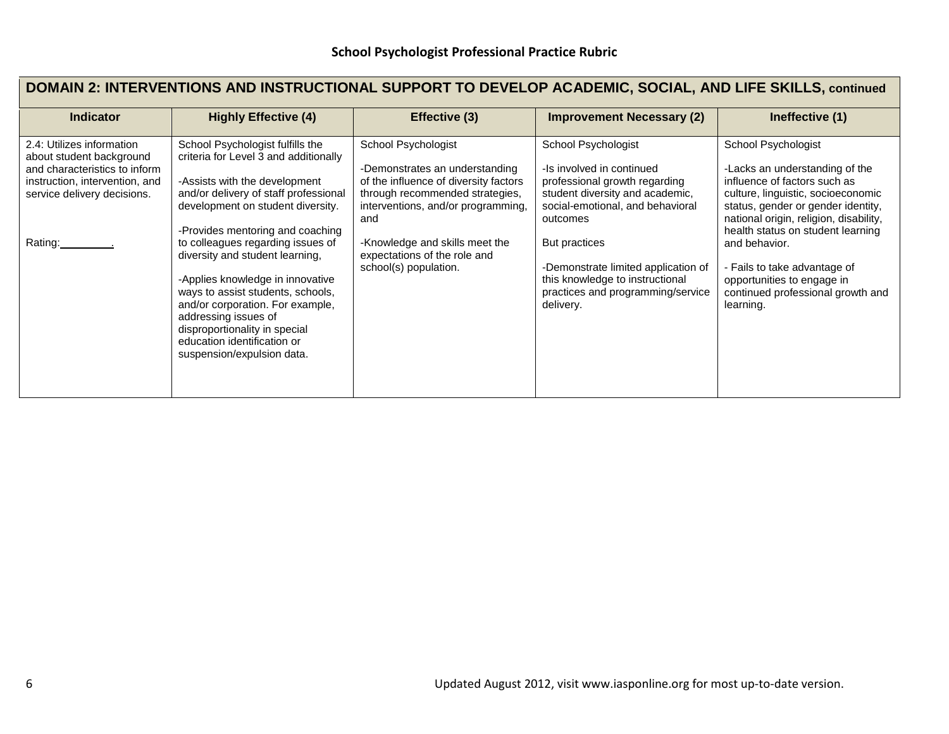# **DOMAIN 2: INTERVENTIONS AND INSTRUCTIONAL SUPPORT TO DEVELOP ACADEMIC, SOCIAL, AND LIFE SKILLS, continued**

| <b>Indicator</b>                                                                                                                                                   | <b>Highly Effective (4)</b>                                                                                                                                                                                                                                                                                                                                                                                                                                                                                                             | Effective (3)                                                                                                                                                                                                                                                             | <b>Improvement Necessary (2)</b>                                                                                                                                                                                                                                                                                  | Ineffective (1)                                                                                                                                                                                                                                                                                                                                                                   |
|--------------------------------------------------------------------------------------------------------------------------------------------------------------------|-----------------------------------------------------------------------------------------------------------------------------------------------------------------------------------------------------------------------------------------------------------------------------------------------------------------------------------------------------------------------------------------------------------------------------------------------------------------------------------------------------------------------------------------|---------------------------------------------------------------------------------------------------------------------------------------------------------------------------------------------------------------------------------------------------------------------------|-------------------------------------------------------------------------------------------------------------------------------------------------------------------------------------------------------------------------------------------------------------------------------------------------------------------|-----------------------------------------------------------------------------------------------------------------------------------------------------------------------------------------------------------------------------------------------------------------------------------------------------------------------------------------------------------------------------------|
| 2.4: Utilizes information<br>about student background<br>and characteristics to inform<br>instruction, intervention, and<br>service delivery decisions.<br>Rating: | School Psychologist fulfills the<br>criteria for Level 3 and additionally<br>-Assists with the development<br>and/or delivery of staff professional<br>development on student diversity.<br>-Provides mentoring and coaching<br>to colleagues regarding issues of<br>diversity and student learning,<br>-Applies knowledge in innovative<br>ways to assist students, schools,<br>and/or corporation. For example,<br>addressing issues of<br>disproportionality in special<br>education identification or<br>suspension/expulsion data. | School Psychologist<br>-Demonstrates an understanding<br>of the influence of diversity factors<br>through recommended strategies,<br>interventions, and/or programming,<br>and<br>-Knowledge and skills meet the<br>expectations of the role and<br>school(s) population. | School Psychologist<br>-Is involved in continued<br>professional growth regarding<br>student diversity and academic,<br>social-emotional, and behavioral<br>outcomes<br>But practices<br>-Demonstrate limited application of<br>this knowledge to instructional<br>practices and programming/service<br>delivery. | School Psychologist<br>-Lacks an understanding of the<br>influence of factors such as<br>culture, linguistic, socioeconomic<br>status, gender or gender identity,<br>national origin, religion, disability,<br>health status on student learning<br>and behavior.<br>- Fails to take advantage of<br>opportunities to engage in<br>continued professional growth and<br>learning. |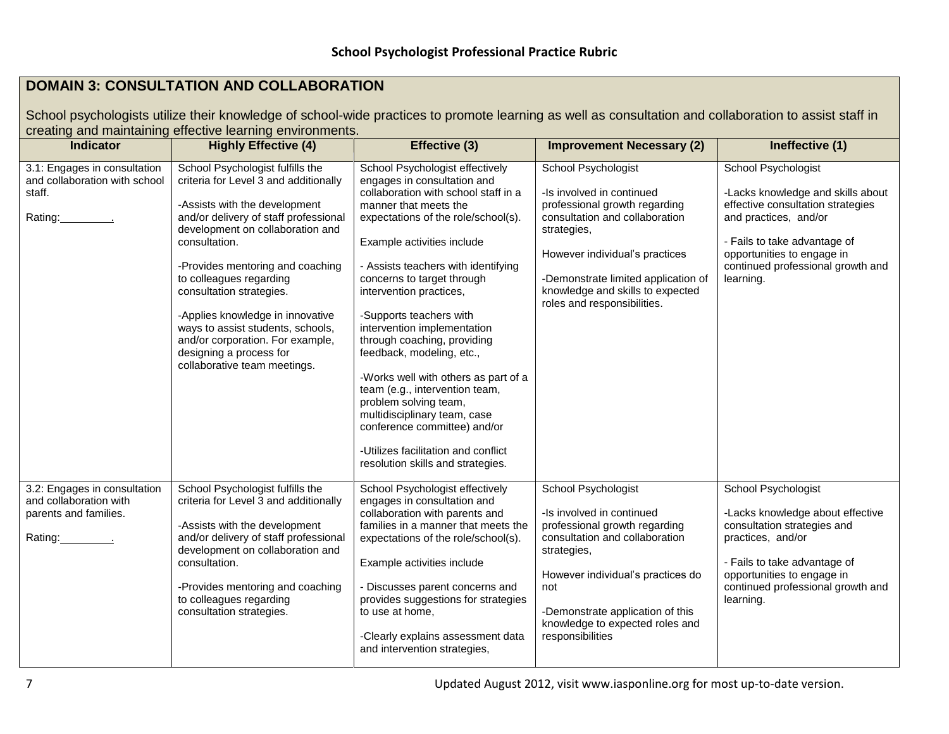# **DOMAIN 3: CONSULTATION AND COLLABORATION**

School psychologists utilize their knowledge of school-wide practices to promote learning as well as consultation and collaboration to assist staff in creating and maintaining effective learning environments.

| <b>Indicator</b>                                                                   | <b>Highly Effective (4)</b>                                                                                                                                                                                                                                                                                                                                                                                                                                                 | Effective (3)                                                                                                                                                                                                                                                                                                                                                                                                                                                                                                                                                                                                                                                             | <b>Improvement Necessary (2)</b>                                                                                                                                                                                                                                               | Ineffective (1)                                                                                                                                                                                                                               |
|------------------------------------------------------------------------------------|-----------------------------------------------------------------------------------------------------------------------------------------------------------------------------------------------------------------------------------------------------------------------------------------------------------------------------------------------------------------------------------------------------------------------------------------------------------------------------|---------------------------------------------------------------------------------------------------------------------------------------------------------------------------------------------------------------------------------------------------------------------------------------------------------------------------------------------------------------------------------------------------------------------------------------------------------------------------------------------------------------------------------------------------------------------------------------------------------------------------------------------------------------------------|--------------------------------------------------------------------------------------------------------------------------------------------------------------------------------------------------------------------------------------------------------------------------------|-----------------------------------------------------------------------------------------------------------------------------------------------------------------------------------------------------------------------------------------------|
| 3.1: Engages in consultation<br>and collaboration with school<br>staff.<br>Rating: | School Psychologist fulfills the<br>criteria for Level 3 and additionally<br>-Assists with the development<br>and/or delivery of staff professional<br>development on collaboration and<br>consultation.<br>-Provides mentoring and coaching<br>to colleagues regarding<br>consultation strategies.<br>-Applies knowledge in innovative<br>ways to assist students, schools,<br>and/or corporation. For example,<br>designing a process for<br>collaborative team meetings. | School Psychologist effectively<br>engages in consultation and<br>collaboration with school staff in a<br>manner that meets the<br>expectations of the role/school(s).<br>Example activities include<br>- Assists teachers with identifying<br>concerns to target through<br>intervention practices,<br>-Supports teachers with<br>intervention implementation<br>through coaching, providing<br>feedback, modeling, etc.,<br>-Works well with others as part of a<br>team (e.g., intervention team,<br>problem solving team,<br>multidisciplinary team, case<br>conference committee) and/or<br>-Utilizes facilitation and conflict<br>resolution skills and strategies. | School Psychologist<br>-Is involved in continued<br>professional growth regarding<br>consultation and collaboration<br>strategies,<br>However individual's practices<br>-Demonstrate limited application of<br>knowledge and skills to expected<br>roles and responsibilities. | <b>School Psychologist</b><br>-Lacks knowledge and skills about<br>effective consultation strategies<br>and practices, and/or<br>- Fails to take advantage of<br>opportunities to engage in<br>continued professional growth and<br>learning. |
| 3.2: Engages in consultation<br>and collaboration with<br>parents and families.    | School Psychologist fulfills the<br>criteria for Level 3 and additionally<br>-Assists with the development<br>and/or delivery of staff professional<br>development on collaboration and<br>consultation.<br>-Provides mentoring and coaching<br>to colleagues regarding<br>consultation strategies.                                                                                                                                                                         | School Psychologist effectively<br>engages in consultation and<br>collaboration with parents and<br>families in a manner that meets the<br>expectations of the role/school(s).<br>Example activities include<br>- Discusses parent concerns and<br>provides suggestions for strategies<br>to use at home.<br>-Clearly explains assessment data<br>and intervention strategies,                                                                                                                                                                                                                                                                                            | School Psychologist<br>-Is involved in continued<br>professional growth regarding<br>consultation and collaboration<br>strategies,<br>However individual's practices do<br>not<br>-Demonstrate application of this<br>knowledge to expected roles and<br>responsibilities      | School Psychologist<br>-Lacks knowledge about effective<br>consultation strategies and<br>practices, and/or<br>- Fails to take advantage of<br>opportunities to engage in<br>continued professional growth and<br>learning.                   |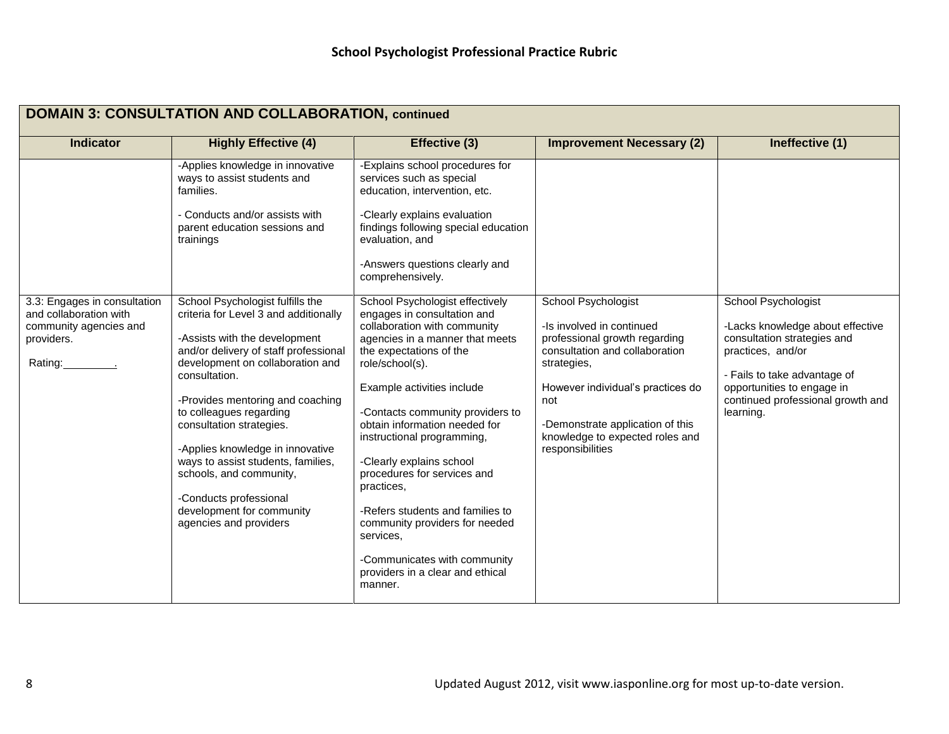| <b>DOMAIN 3: CONSULTATION AND COLLABORATION, continued</b>                |                                                                                                                                                                                                                                                                                                                                                                                                                                                       |                                                                                                                                                                                                                                                                                                                                                                                                                                                                                                                          |                                                                                                                                                                                                                                                    |                                                                                                                                                                                                      |
|---------------------------------------------------------------------------|-------------------------------------------------------------------------------------------------------------------------------------------------------------------------------------------------------------------------------------------------------------------------------------------------------------------------------------------------------------------------------------------------------------------------------------------------------|--------------------------------------------------------------------------------------------------------------------------------------------------------------------------------------------------------------------------------------------------------------------------------------------------------------------------------------------------------------------------------------------------------------------------------------------------------------------------------------------------------------------------|----------------------------------------------------------------------------------------------------------------------------------------------------------------------------------------------------------------------------------------------------|------------------------------------------------------------------------------------------------------------------------------------------------------------------------------------------------------|
| <b>Indicator</b>                                                          | <b>Highly Effective (4)</b>                                                                                                                                                                                                                                                                                                                                                                                                                           | Effective (3)                                                                                                                                                                                                                                                                                                                                                                                                                                                                                                            | <b>Improvement Necessary (2)</b>                                                                                                                                                                                                                   | Ineffective (1)                                                                                                                                                                                      |
| 3.3: Engages in consultation                                              | -Applies knowledge in innovative<br>ways to assist students and<br>families.<br>- Conducts and/or assists with<br>parent education sessions and<br>trainings<br>School Psychologist fulfills the                                                                                                                                                                                                                                                      | -Explains school procedures for<br>services such as special<br>education, intervention, etc.<br>-Clearly explains evaluation<br>findings following special education<br>evaluation, and<br>-Answers questions clearly and<br>comprehensively.<br>School Psychologist effectively                                                                                                                                                                                                                                         | School Psychologist                                                                                                                                                                                                                                | School Psychologist                                                                                                                                                                                  |
| and collaboration with<br>community agencies and<br>providers.<br>Rating: | criteria for Level 3 and additionally<br>-Assists with the development<br>and/or delivery of staff professional<br>development on collaboration and<br>consultation.<br>-Provides mentoring and coaching<br>to colleagues regarding<br>consultation strategies.<br>-Applies knowledge in innovative<br>ways to assist students, families,<br>schools, and community,<br>-Conducts professional<br>development for community<br>agencies and providers | engages in consultation and<br>collaboration with community<br>agencies in a manner that meets<br>the expectations of the<br>role/school(s).<br>Example activities include<br>-Contacts community providers to<br>obtain information needed for<br>instructional programming,<br>-Clearly explains school<br>procedures for services and<br>practices,<br>-Refers students and families to<br>community providers for needed<br>services.<br>-Communicates with community<br>providers in a clear and ethical<br>manner. | -Is involved in continued<br>professional growth regarding<br>consultation and collaboration<br>strategies,<br>However individual's practices do<br>not<br>-Demonstrate application of this<br>knowledge to expected roles and<br>responsibilities | -Lacks knowledge about effective<br>consultation strategies and<br>practices, and/or<br>- Fails to take advantage of<br>opportunities to engage in<br>continued professional growth and<br>learning. |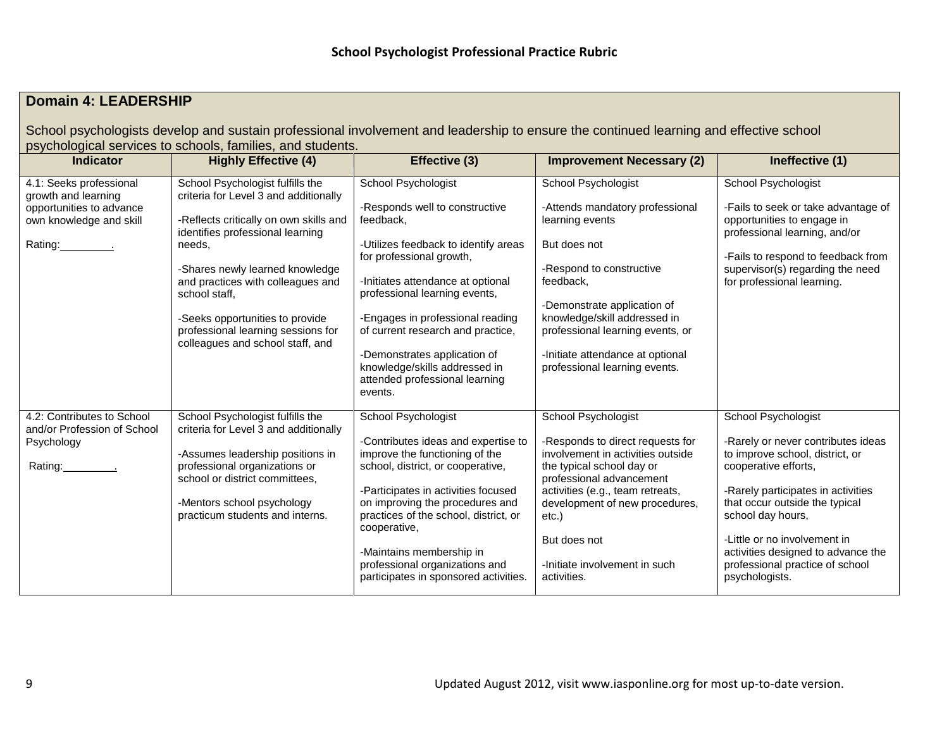# **Domain 4: LEADERSHIP**

School psychologists develop and sustain professional involvement and leadership to ensure the continued learning and effective school psychological services to schools, families, and students.

| <b>Indicator</b>                                                                                                     | <b>Highly Effective (4)</b>                                                                                                                                                                                                                                                                                                                                             | Effective (3)                                                                                                                                                                                                                                                                                                                                                                                       | <b>Improvement Necessary (2)</b>                                                                                                                                                                                                                                                                               | Ineffective (1)                                                                                                                                                                                                                                                                                                                              |
|----------------------------------------------------------------------------------------------------------------------|-------------------------------------------------------------------------------------------------------------------------------------------------------------------------------------------------------------------------------------------------------------------------------------------------------------------------------------------------------------------------|-----------------------------------------------------------------------------------------------------------------------------------------------------------------------------------------------------------------------------------------------------------------------------------------------------------------------------------------------------------------------------------------------------|----------------------------------------------------------------------------------------------------------------------------------------------------------------------------------------------------------------------------------------------------------------------------------------------------------------|----------------------------------------------------------------------------------------------------------------------------------------------------------------------------------------------------------------------------------------------------------------------------------------------------------------------------------------------|
| 4.1: Seeks professional<br>growth and learning<br>opportunities to advance<br>own knowledge and skill<br>Rating: 1.1 | School Psychologist fulfills the<br>criteria for Level 3 and additionally<br>-Reflects critically on own skills and<br>identifies professional learning<br>needs,<br>-Shares newly learned knowledge<br>and practices with colleagues and<br>school staff,<br>-Seeks opportunities to provide<br>professional learning sessions for<br>colleagues and school staff, and | School Psychologist<br>-Responds well to constructive<br>feedback,<br>-Utilizes feedback to identify areas<br>for professional growth,<br>-Initiates attendance at optional<br>professional learning events,<br>-Engages in professional reading<br>of current research and practice,<br>-Demonstrates application of<br>knowledge/skills addressed in<br>attended professional learning<br>events. | School Psychologist<br>-Attends mandatory professional<br>learning events<br>But does not<br>-Respond to constructive<br>feedback,<br>-Demonstrate application of<br>knowledge/skill addressed in<br>professional learning events, or<br>-Initiate attendance at optional<br>professional learning events.     | School Psychologist<br>-Fails to seek or take advantage of<br>opportunities to engage in<br>professional learning, and/or<br>-Fails to respond to feedback from<br>supervisor(s) regarding the need<br>for professional learning.                                                                                                            |
| 4.2: Contributes to School<br>and/or Profession of School<br>Psychology<br>Rating:                                   | School Psychologist fulfills the<br>criteria for Level 3 and additionally<br>-Assumes leadership positions in<br>professional organizations or<br>school or district committees,<br>-Mentors school psychology<br>practicum students and interns.                                                                                                                       | School Psychologist<br>-Contributes ideas and expertise to<br>improve the functioning of the<br>school, district, or cooperative,<br>-Participates in activities focused<br>on improving the procedures and<br>practices of the school, district, or<br>cooperative,<br>-Maintains membership in<br>professional organizations and<br>participates in sponsored activities.                         | <b>School Psychologist</b><br>-Responds to direct requests for<br>involvement in activities outside<br>the typical school day or<br>professional advancement<br>activities (e.g., team retreats,<br>development of new procedures,<br>$etc.$ )<br>But does not<br>-Initiate involvement in such<br>activities. | School Psychologist<br>-Rarely or never contributes ideas<br>to improve school, district, or<br>cooperative efforts,<br>-Rarely participates in activities<br>that occur outside the typical<br>school day hours,<br>-Little or no involvement in<br>activities designed to advance the<br>professional practice of school<br>psychologists. |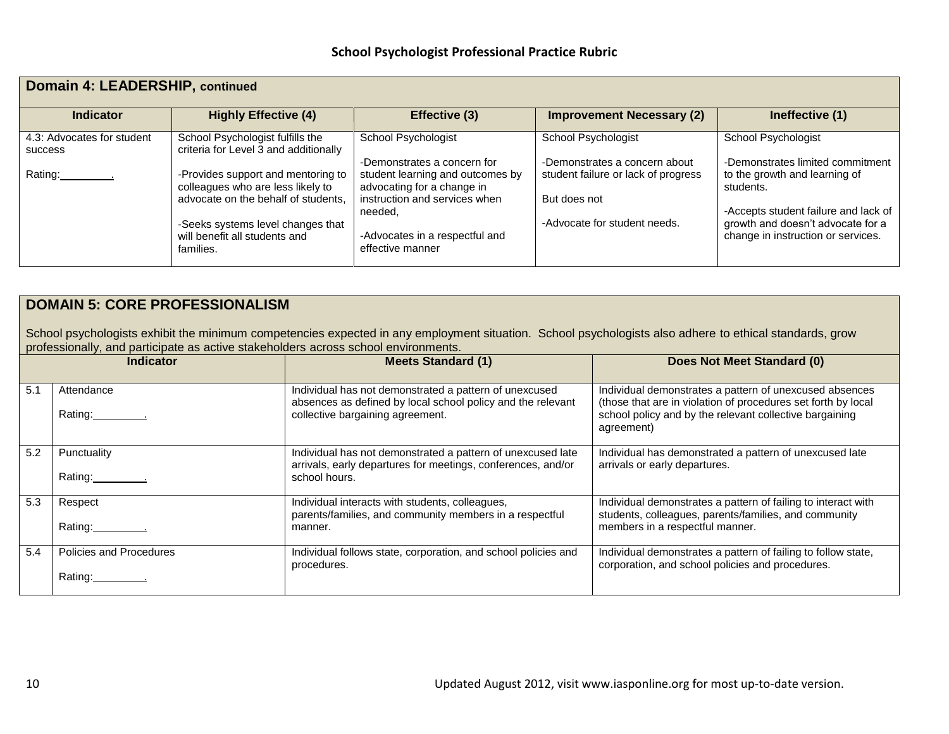| <b>Domain 4: LEADERSHIP, continued</b>       |                                                                           |                                                                |                                     |                                                                         |  |
|----------------------------------------------|---------------------------------------------------------------------------|----------------------------------------------------------------|-------------------------------------|-------------------------------------------------------------------------|--|
| <b>Indicator</b>                             | <b>Highly Effective (4)</b>                                               | Effective (3)                                                  | <b>Improvement Necessary (2)</b>    | Ineffective (1)                                                         |  |
| 4.3: Advocates for student<br><b>SUCCESS</b> | School Psychologist fulfills the<br>criteria for Level 3 and additionally | School Psychologist                                            | School Psychologist                 | School Psychologist                                                     |  |
|                                              |                                                                           | -Demonstrates a concern for                                    | -Demonstrates a concern about       | -Demonstrates limited commitment                                        |  |
| Rating:                                      | -Provides support and mentoring to<br>colleagues who are less likely to   | student learning and outcomes by<br>advocating for a change in | student failure or lack of progress | to the growth and learning of<br>students.                              |  |
|                                              | advocate on the behalf of students,                                       | instruction and services when                                  | But does not                        |                                                                         |  |
|                                              |                                                                           | needed,                                                        | -Advocate for student needs.        | -Accepts student failure and lack of                                    |  |
|                                              | -Seeks systems level changes that<br>will benefit all students and        | -Advocates in a respectful and                                 |                                     | growth and doesn't advocate for a<br>change in instruction or services. |  |
|                                              | families.                                                                 | effective manner                                               |                                     |                                                                         |  |

## **DOMAIN 5: CORE PROFESSIONALISM**

School psychologists exhibit the minimum competencies expected in any employment situation. School psychologists also adhere to ethical standards, grow professionally, and participate as active stakeholders across school environments.

|     | <b>Indicator</b>                   | <b>Meets Standard (1)</b>                                                                                                                                 | Does Not Meet Standard (0)                                                                                                                                                                        |
|-----|------------------------------------|-----------------------------------------------------------------------------------------------------------------------------------------------------------|---------------------------------------------------------------------------------------------------------------------------------------------------------------------------------------------------|
| 5.1 | Attendance                         | Individual has not demonstrated a pattern of unexcused<br>absences as defined by local school policy and the relevant<br>collective bargaining agreement. | Individual demonstrates a pattern of unexcused absences<br>(those that are in violation of procedures set forth by local<br>school policy and by the relevant collective bargaining<br>agreement) |
| 5.2 | Punctuality                        | Individual has not demonstrated a pattern of unexcused late<br>arrivals, early departures for meetings, conferences, and/or<br>school hours.              | Individual has demonstrated a pattern of unexcused late<br>arrivals or early departures.                                                                                                          |
| 5.3 | Respect<br>Rating: 1.1             | Individual interacts with students, colleagues,<br>parents/families, and community members in a respectful<br>manner.                                     | Individual demonstrates a pattern of failing to interact with<br>students, colleagues, parents/families, and community<br>members in a respectful manner.                                         |
| 5.4 | Policies and Procedures<br>Rating: | Individual follows state, corporation, and school policies and<br>procedures.                                                                             | Individual demonstrates a pattern of failing to follow state,<br>corporation, and school policies and procedures.                                                                                 |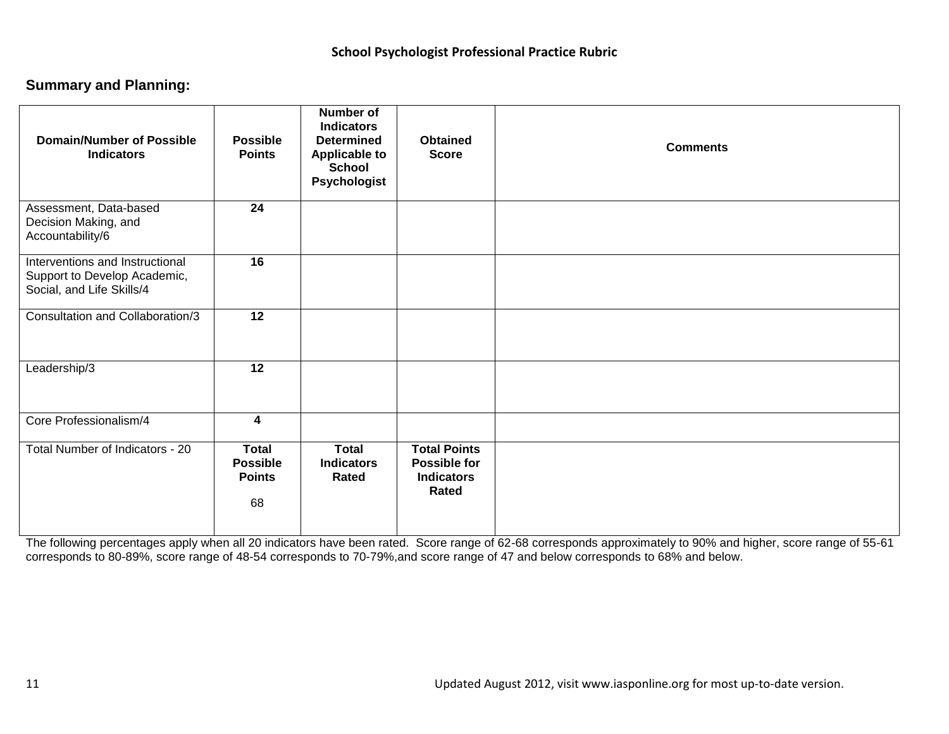## **Summary and Planning:**

| <b>Domain/Number of Possible</b><br><b>Indicators</b>                                        | <b>Possible</b><br><b>Points</b>                       | Number of<br><b>Indicators</b><br><b>Determined</b><br><b>Applicable to</b><br><b>School</b><br><b>Psychologist</b> | <b>Obtained</b><br><b>Score</b>                                                 | <b>Comments</b> |
|----------------------------------------------------------------------------------------------|--------------------------------------------------------|---------------------------------------------------------------------------------------------------------------------|---------------------------------------------------------------------------------|-----------------|
| Assessment, Data-based<br>Decision Making, and<br>Accountability/6                           | 24                                                     |                                                                                                                     |                                                                                 |                 |
| Interventions and Instructional<br>Support to Develop Academic,<br>Social, and Life Skills/4 | 16                                                     |                                                                                                                     |                                                                                 |                 |
| Consultation and Collaboration/3                                                             | $\overline{12}$                                        |                                                                                                                     |                                                                                 |                 |
| Leadership/3                                                                                 | 12                                                     |                                                                                                                     |                                                                                 |                 |
| Core Professionalism/4                                                                       | $\overline{\mathbf{4}}$                                |                                                                                                                     |                                                                                 |                 |
| Total Number of Indicators - 20                                                              | <b>Total</b><br><b>Possible</b><br><b>Points</b><br>68 | <b>Total</b><br><b>Indicators</b><br>Rated                                                                          | <b>Total Points</b><br><b>Possible for</b><br><b>Indicators</b><br><b>Rated</b> |                 |

The following percentages apply when all 20 indicators have been rated. Score range of 62-68 corresponds approximately to 90% and higher, score range of 55-61 corresponds to 80-89%, score range of 48-54 corresponds to 70-79%,and score range of 47 and below corresponds to 68% and below.